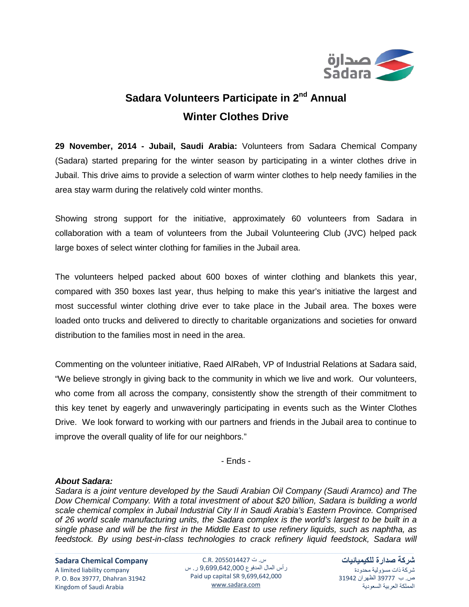

## **Sadara Volunteers Participate in 2nd Annual Winter Clothes Drive**

**29 November, 2014 - Jubail, Saudi Arabia:** Volunteers from Sadara Chemical Company (Sadara) started preparing for the winter season by participating in a winter clothes drive in Jubail. This drive aims to provide a selection of warm winter clothes to help needy families in the area stay warm during the relatively cold winter months.

Showing strong support for the initiative, approximately 60 volunteers from Sadara in collaboration with a team of volunteers from the Jubail Volunteering Club (JVC) helped pack large boxes of select winter clothing for families in the Jubail area.

The volunteers helped packed about 600 boxes of winter clothing and blankets this year, compared with 350 boxes last year, thus helping to make this year's initiative the largest and most successful winter clothing drive ever to take place in the Jubail area. The boxes were loaded onto trucks and delivered to directly to charitable organizations and societies for onward distribution to the families most in need in the area.

Commenting on the volunteer initiative, Raed AlRabeh, VP of Industrial Relations at Sadara said, "We believe strongly in giving back to the community in which we live and work. Our volunteers, who come from all across the company, consistently show the strength of their commitment to this key tenet by eagerly and unwaveringly participating in events such as the Winter Clothes Drive. We look forward to working with our partners and friends in the Jubail area to continue to improve the overall quality of life for our neighbors."

- Ends -

## *About Sadara:*

*Sadara is a joint venture developed by the Saudi Arabian Oil Company (Saudi Aramco) and The Dow Chemical Company. With a total investment of about \$20 billion, Sadara is building a world scale chemical complex in Jubail Industrial City II in Saudi Arabia's Eastern Province. Comprised of 26 world scale manufacturing units, the Sadara complex is the world's largest to be built in a single phase and will be the first in the Middle East to use refinery liquids, such as naphtha, as feedstock. By using best-in-class technologies to crack refinery liquid feedstock, Sadara will* 

**Sadara Chemical Company**

A limited liability company P. O. Box 39777, Dhahran 31942 Kingdom of Saudi Arabia

س. ت 2055014427 .R.C رأس المال المدفوع 9,699,642,000 ر. س Paid up capital SR 9,699,642,000 [www.sadara.com](http://www.sadara.com/)

**شركة صدارة للكيميائيات** شركة ذات مسؤولية محدودة ص. ب 39777 الظهران 31942 المملكة العربية السعودية